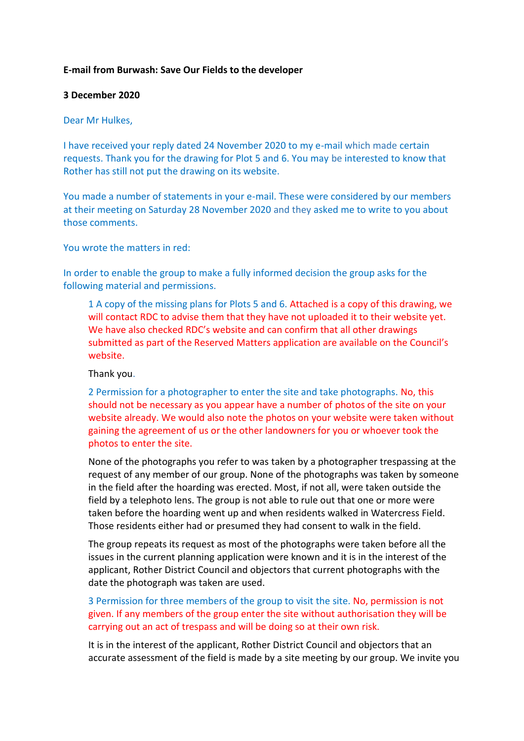## **E-mail from Burwash: Save Our Fields to the developer**

### **3 December 2020**

### Dear Mr Hulkes,

I have received your reply dated 24 November 2020 to my e-mail which made certain requests. Thank you for the drawing for Plot 5 and 6. You may be interested to know that Rother has still not put the drawing on its website.

You made a number of statements in your e-mail. These were considered by our members at their meeting on Saturday 28 November 2020 and they asked me to write to you about those comments.

You wrote the matters in red:

In order to enable the group to make a fully informed decision the group asks for the following material and permissions.

1 A copy of the missing plans for Plots 5 and 6. Attached is a copy of this drawing, we will contact RDC to advise them that they have not uploaded it to their website yet. We have also checked RDC's website and can confirm that all other drawings submitted as part of the Reserved Matters application are available on the Council's website.

Thank you.

2 Permission for a photographer to enter the site and take photographs. No, this should not be necessary as you appear have a number of photos of the site on your website already. We would also note the photos on your website were taken without gaining the agreement of us or the other landowners for you or whoever took the photos to enter the site.

None of the photographs you refer to was taken by a photographer trespassing at the request of any member of our group. None of the photographs was taken by someone in the field after the hoarding was erected. Most, if not all, were taken outside the field by a telephoto lens. The group is not able to rule out that one or more were taken before the hoarding went up and when residents walked in Watercress Field. Those residents either had or presumed they had consent to walk in the field.

The group repeats its request as most of the photographs were taken before all the issues in the current planning application were known and it is in the interest of the applicant, Rother District Council and objectors that current photographs with the date the photograph was taken are used.

3 Permission for three members of the group to visit the site. No, permission is not given. If any members of the group enter the site without authorisation they will be carrying out an act of trespass and will be doing so at their own risk.

It is in the interest of the applicant, Rother District Council and objectors that an accurate assessment of the field is made by a site meeting by our group. We invite you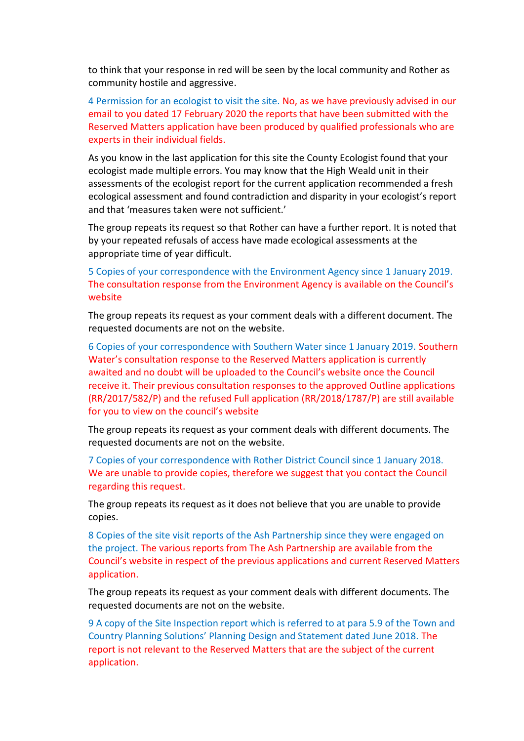to think that your response in red will be seen by the local community and Rother as community hostile and aggressive.

4 Permission for an ecologist to visit the site. No, as we have previously advised in our email to you dated 17 February 2020 the reports that have been submitted with the Reserved Matters application have been produced by qualified professionals who are experts in their individual fields.

As you know in the last application for this site the County Ecologist found that your ecologist made multiple errors. You may know that the High Weald unit in their assessments of the ecologist report for the current application recommended a fresh ecological assessment and found contradiction and disparity in your ecologist's report and that 'measures taken were not sufficient.'

The group repeats its request so that Rother can have a further report. It is noted that by your repeated refusals of access have made ecological assessments at the appropriate time of year difficult.

5 Copies of your correspondence with the Environment Agency since 1 January 2019. The consultation response from the Environment Agency is available on the Council's website

The group repeats its request as your comment deals with a different document. The requested documents are not on the website.

6 Copies of your correspondence with Southern Water since 1 January 2019. Southern Water's consultation response to the Reserved Matters application is currently awaited and no doubt will be uploaded to the Council's website once the Council receive it. Their previous consultation responses to the approved Outline applications (RR/2017/582/P) and the refused Full application (RR/2018/1787/P) are still available for you to view on the council's website

The group repeats its request as your comment deals with different documents. The requested documents are not on the website.

7 Copies of your correspondence with Rother District Council since 1 January 2018. We are unable to provide copies, therefore we suggest that you contact the Council regarding this request.

The group repeats its request as it does not believe that you are unable to provide copies.

8 Copies of the site visit reports of the Ash Partnership since they were engaged on the project. The various reports from The Ash Partnership are available from the Council's website in respect of the previous applications and current Reserved Matters application.

The group repeats its request as your comment deals with different documents. The requested documents are not on the website.

9 A copy of the Site Inspection report which is referred to at para 5.9 of the Town and Country Planning Solutions' Planning Design and Statement dated June 2018. The report is not relevant to the Reserved Matters that are the subject of the current application.